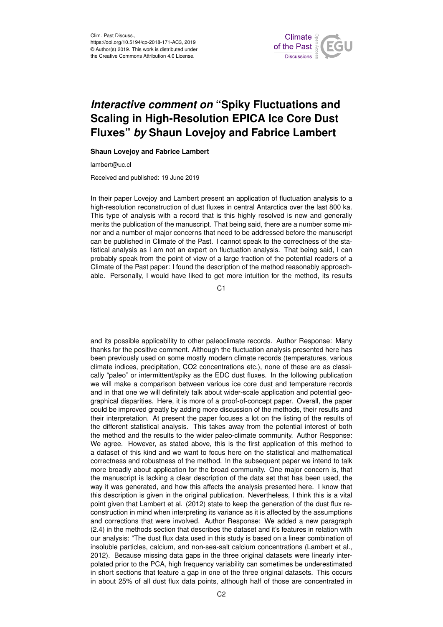

## *Interactive comment on* **"Spiky Fluctuations and Scaling in High-Resolution EPICA Ice Core Dust Fluxes"** *by* **Shaun Lovejoy and Fabrice Lambert**

## **Shaun Lovejoy and Fabrice Lambert**

lambert@uc.cl

Received and published: 19 June 2019

In their paper Lovejoy and Lambert present an application of fluctuation analysis to a high-resolution reconstruction of dust fluxes in central Antarctica over the last 800 ka. This type of analysis with a record that is this highly resolved is new and generally merits the publication of the manuscript. That being said, there are a number some minor and a number of major concerns that need to be addressed before the manuscript can be published in Climate of the Past. I cannot speak to the correctness of the statistical analysis as I am not an expert on fluctuation analysis. That being said, I can probably speak from the point of view of a large fraction of the potential readers of a Climate of the Past paper: I found the description of the method reasonably approachable. Personally, I would have liked to get more intuition for the method, its results

C1

and its possible applicability to other paleoclimate records. Author Response: Many thanks for the positive comment. Although the fluctuation analysis presented here has been previously used on some mostly modern climate records (temperatures, various climate indices, precipitation, CO2 concentrations etc.), none of these are as classically "paleo" or intermittent/spiky as the EDC dust fluxes. In the following publication we will make a comparison between various ice core dust and temperature records and in that one we will definitely talk about wider-scale application and potential geographical disparities. Here, it is more of a proof-of-concept paper. Overall, the paper could be improved greatly by adding more discussion of the methods, their results and their interpretation. At present the paper focuses a lot on the listing of the results of the different statistical analysis. This takes away from the potential interest of both the method and the results to the wider paleo-climate community. Author Response: We agree. However, as stated above, this is the first application of this method to a dataset of this kind and we want to focus here on the statistical and mathematical correctness and robustness of the method. In the subsequent paper we intend to talk more broadly about application for the broad community. One major concern is, that the manuscript is lacking a clear description of the data set that has been used, the way it was generated, and how this affects the analysis presented here. I know that this description is given in the original publication. Nevertheless, I think this is a vital point given that Lambert et al. (2012) state to keep the generation of the dust flux reconstruction in mind when interpreting its variance as it is affected by the assumptions and corrections that were involved. Author Response: We added a new paragraph (2.4) in the methods section that describes the dataset and it's features in relation with our analysis: "The dust flux data used in this study is based on a linear combination of insoluble particles, calcium, and non-sea-salt calcium concentrations (Lambert et al., 2012). Because missing data gaps in the three original datasets were linearly interpolated prior to the PCA, high frequency variability can sometimes be underestimated in short sections that feature a gap in one of the three original datasets. This occurs in about 25% of all dust flux data points, although half of those are concentrated in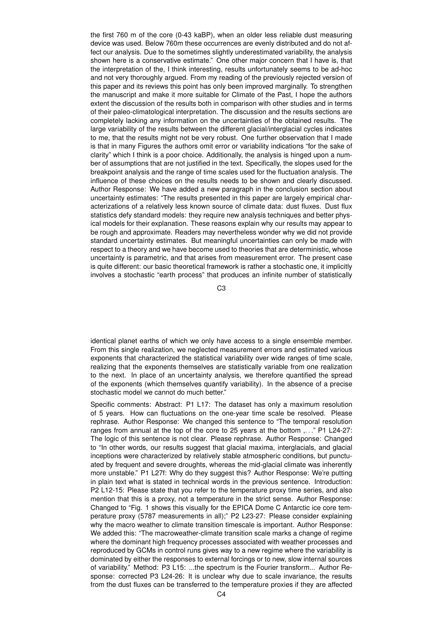the first 760 m of the core (0-43 kaBP), when an older less reliable dust measuring device was used. Below 760m these occurrences are evenly distributed and do not affect our analysis. Due to the sometimes slightly underestimated variability, the analysis shown here is a conservative estimate." One other major concern that I have is, that the interpretation of the, I think interesting, results unfortunately seems to be ad-hoc and not very thoroughly argued. From my reading of the previously rejected version of this paper and its reviews this point has only been improved marginally. To strengthen the manuscript and make it more suitable for Climate of the Past, I hope the authors extent the discussion of the results both in comparison with other studies and in terms of their paleo-climatological interpretation. The discussion and the results sections are completely lacking any information on the uncertainties of the obtained results. The large variability of the results between the different glacial/interglacial cycles indicates to me, that the results might not be very robust. One further observation that I made is that in many Figures the authors omit error or variability indications "for the sake of clarity" which I think is a poor choice. Additionally, the analysis is hinged upon a number of assumptions that are not justified in the text. Specifically, the slopes used for the breakpoint analysis and the range of time scales used for the fluctuation analysis. The influence of these choices on the results needs to be shown and clearly discussed. Author Response: We have added a new paragraph in the conclusion section about uncertainty estimates: "The results presented in this paper are largely empirical characterizations of a relatively less known source of climate data: dust fluxes. Dust flux statistics defy standard models: they require new analysis techniques and better physical models for their explanation. These reasons explain why our results may appear to be rough and approximate. Readers may nevertheless wonder why we did not provide standard uncertainty estimates. But meaningful uncertainties can only be made with respect to a theory and we have become used to theories that are deterministic, whose uncertainty is parametric, and that arises from measurement error. The present case is quite different: our basic theoretical framework is rather a stochastic one, it implicitly involves a stochastic "earth process" that produces an infinite number of statistically

C3

identical planet earths of which we only have access to a single ensemble member. From this single realization, we neglected measurement errors and estimated various exponents that characterized the statistical variability over wide ranges of time scale, realizing that the exponents themselves are statistically variable from one realization to the next. In place of an uncertainty analysis, we therefore quantified the spread of the exponents (which themselves quantify variability). In the absence of a precise stochastic model we cannot do much better."

Specific comments: Abstract: P1 L17: The dataset has only a maximum resolution of 5 years. How can fluctuations on the one-year time scale be resolved. Please rephrase. Author Response: We changed this sentence to "The temporal resolution ranges from annual at the top of the core to 25 years at the bottom ...." P1 L24-27: The logic of this sentence is not clear. Please rephrase. Author Response: Changed to "In other words, our results suggest that glacial maxima, interglacials, and glacial inceptions were characterized by relatively stable atmospheric conditions, but punctuated by frequent and severe droughts, whereas the mid-glacial climate was inherently more unstable." P1 L27f: Why do they suggest this? Author Response: We're putting in plain text what is stated in technical words in the previous sentence. Introduction: P2 L12-15: Please state that you refer to the temperature proxy time series, and also mention that this is a proxy, not a temperature in the strict sense. Author Response: Changed to "Fig. 1 shows this visually for the EPICA Dome C Antarctic ice core temperature proxy (5787 measurements in all);" P2 L23-27: Please consider explaining why the macro weather to climate transition timescale is important. Author Response: We added this: "The macroweather-climate transition scale marks a change of regime where the dominant high frequency processes associated with weather processes and reproduced by GCMs in control runs gives way to a new regime where the variability is dominated by either the responses to external forcings or to new, slow internal sources of variability." Method: P3 L15: ...the spectrum is the Fourier transform... Author Response: corrected P3 L24-26: It is unclear why due to scale invariance, the results from the dust fluxes can be transferred to the temperature proxies if they are affected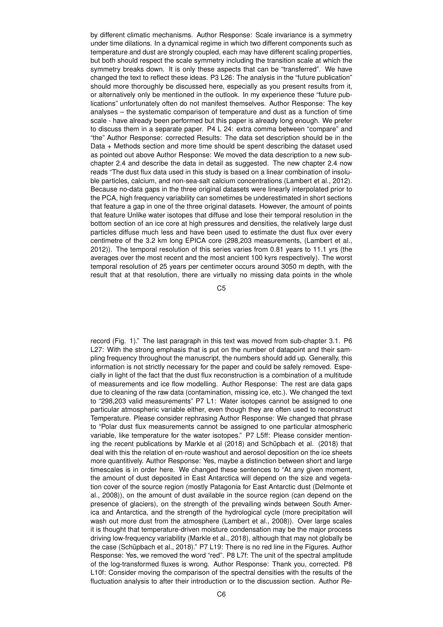by different climatic mechanisms. Author Response: Scale invariance is a symmetry under time dilations. In a dynamical regime in which two different components such as temperature and dust are strongly coupled, each may have different scaling properties, but both should respect the scale symmetry including the transition scale at which the symmetry breaks down. It is only these aspects that can be "transferred". We have changed the text to reflect these ideas. P3 L26: The analysis in the "future publication" should more thoroughly be discussed here, especially as you present results from it, or alternatively only be mentioned in the outlook. In my experience these "future publications" unfortunately often do not manifest themselves. Author Response: The key analyses – the systematic comparison of temperature and dust as a function of time scale - have already been performed but this paper is already long enough. We prefer to discuss them in a separate paper. P4 L 24: extra comma between "compare" and "the" Author Response: corrected Results: The data set description should be in the Data + Methods section and more time should be spent describing the dataset used as pointed out above Author Response: We moved the data description to a new subchapter 2.4 and describe the data in detail as suggested. The new chapter 2.4 now reads "The dust flux data used in this study is based on a linear combination of insoluble particles, calcium, and non-sea-salt calcium concentrations (Lambert et al., 2012). Because no-data gaps in the three original datasets were linearly interpolated prior to the PCA, high frequency variability can sometimes be underestimated in short sections that feature a gap in one of the three original datasets. However, the amount of points that feature Unlike water isotopes that diffuse and lose their temporal resolution in the bottom section of an ice core at high pressures and densities, the relatively large dust particles diffuse much less and have been used to estimate the dust flux over every centimetre of the 3.2 km long EPICA core (298,203 measurements, (Lambert et al., 2012)). The temporal resolution of this series varies from 0.81 years to 11.1 yrs (the averages over the most recent and the most ancient 100 kyrs respectively). The worst temporal resolution of 25 years per centimeter occurs around 3050 m depth, with the result that at that resolution, there are virtually no missing data points in the whole

C5

record (Fig. 1)." The last paragraph in this text was moved from sub-chapter 3.1. P6 L27: With the strong emphasis that is put on the number of datapoint and their sampling frequency throughout the manuscript, the numbers should add up. Generally, this information is not strictly necessary for the paper and could be safely removed. Especially in light of the fact that the dust flux reconstruction is a combination of a multitude of measurements and ice flow modelling. Author Response: The rest are data gaps due to cleaning of the raw data (contamination, missing ice, etc.). We changed the text to "298,203 valid measurements" P7 L1: Water isotopes cannot be assigned to one particular atmospheric variable either, even though they are often used to reconstruct Temperature. Please consider rephrasing Author Response: We changed that phrase to "Polar dust flux measurements cannot be assigned to one particular atmospheric variable, like temperature for the water isotopes." P7 L5ff: Please consider mentioning the recent publications by Markle et al (2018) and Schüpbach et al. (2018) that deal with this the relation of en-route washout and aerosol deposition on the ice sheets more quantitively. Author Response: Yes, maybe a distinction between short and large timescales is in order here. We changed these sentences to "At any given moment, the amount of dust deposited in East Antarctica will depend on the size and vegetation cover of the source region (mostly Patagonia for East Antarctic dust (Delmonte et al., 2008)), on the amount of dust available in the source region (can depend on the presence of glaciers), on the strength of the prevailing winds between South America and Antarctica, and the strength of the hydrological cycle (more precipitation will wash out more dust from the atmosphere (Lambert et al., 2008)). Over large scales it is thought that temperature-driven moisture condensation may be the major process driving low-frequency variability (Markle et al., 2018), although that may not globally be the case (Schüpbach et al., 2018)." P7 L19: There is no red line in the Figures. Author Response: Yes, we removed the word "red". P8 L7f: The unit of the spectral amplitude of the log-transformed fluxes is wrong. Author Response: Thank you, corrected. P8 L10f: Consider moving the comparison of the spectral densities with the results of the fluctuation analysis to after their introduction or to the discussion section. Author Re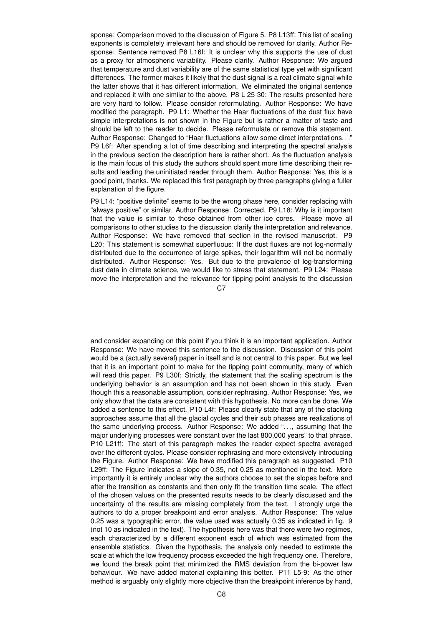sponse: Comparison moved to the discussion of Figure 5. P8 L13ff: This list of scaling exponents is completely irrelevant here and should be removed for clarity. Author Response: Sentence removed P8 L16f: It is unclear why this supports the use of dust as a proxy for atmospheric variability. Please clarify. Author Response: We argued that temperature and dust variability are of the same statistical type yet with significant differences. The former makes it likely that the dust signal is a real climate signal while the latter shows that it has different information. We eliminated the original sentence and replaced it with one similar to the above. P8 L 25-30: The results presented here are very hard to follow. Please consider reformulating. Author Response: We have modified the paragraph. P9 L1: Whether the Haar fluctuations of the dust flux have simple interpretations is not shown in the Figure but is rather a matter of taste and should be left to the reader to decide. Please reformulate or remove this statement. Author Response: Changed to "Haar fluctuations allow some direct interpretations. . ." P9 L6f: After spending a lot of time describing and interpreting the spectral analysis in the previous section the description here is rather short. As the fluctuation analysis is the main focus of this study the authors should spent more time describing their results and leading the uninitiated reader through them. Author Response: Yes, this is a good point, thanks. We replaced this first paragraph by three paragraphs giving a fuller explanation of the figure.

P9 L14: "positive definite" seems to be the wrong phase here, consider replacing with "always positive" or similar. Author Response: Corrected. P9 L18: Why is it important that the value is similar to those obtained from other ice cores. Please move all comparisons to other studies to the discussion clarify the interpretation and relevance. Author Response: We have removed that section in the revised manuscript. P9 L20: This statement is somewhat superfluous: If the dust fluxes are not log-normally distributed due to the occurrence of large spikes, their logarithm will not be normally distributed. Author Response: Yes. But due to the prevalence of log-transforming dust data in climate science, we would like to stress that statement. P9 L24: Please move the interpretation and the relevance for tipping point analysis to the discussion

 $C<sub>2</sub>$ 

and consider expanding on this point if you think it is an important application. Author Response: We have moved this sentence to the discussion. Discussion of this point would be a (actually several) paper in itself and is not central to this paper. But we feel that it is an important point to make for the tipping point community, many of which will read this paper. P9 L30f: Strictly, the statement that the scaling spectrum is the underlying behavior is an assumption and has not been shown in this study. Even though this a reasonable assumption, consider rephrasing. Author Response: Yes, we only show that the data are consistent with this hypothesis. No more can be done. We added a sentence to this effect. P10 L4f: Please clearly state that any of the stacking approaches assume that all the glacial cycles and their sub phases are realizations of the same underlying process. Author Response: We added ". . ., assuming that the major underlying processes were constant over the last 800,000 years" to that phrase. P10 L21ff: The start of this paragraph makes the reader expect spectra averaged over the different cycles. Please consider rephrasing and more extensively introducing the Figure. Author Response: We have modified this paragraph as suggested. P10 L29ff: The Figure indicates a slope of 0.35, not 0.25 as mentioned in the text. More importantly it is entirely unclear why the authors choose to set the slopes before and after the transition as constants and then only fit the transition time scale. The effect of the chosen values on the presented results needs to be clearly discussed and the uncertainty of the results are missing completely from the text. I strongly urge the authors to do a proper breakpoint and error analysis. Author Response: The value 0.25 was a typographic error, the value used was actually 0.35 as indicated in fig. 9 (not 10 as indicated in the text). The hypothesis here was that there were two regimes, each characterized by a different exponent each of which was estimated from the ensemble statistics. Given the hypothesis, the analysis only needed to estimate the scale at which the low frequency process exceeded the high frequency one. Therefore, we found the break point that minimized the RMS deviation from the bi-power law behaviour. We have added material explaining this better. P11 L5-9: As the other method is arguably only slightly more objective than the breakpoint inference by hand,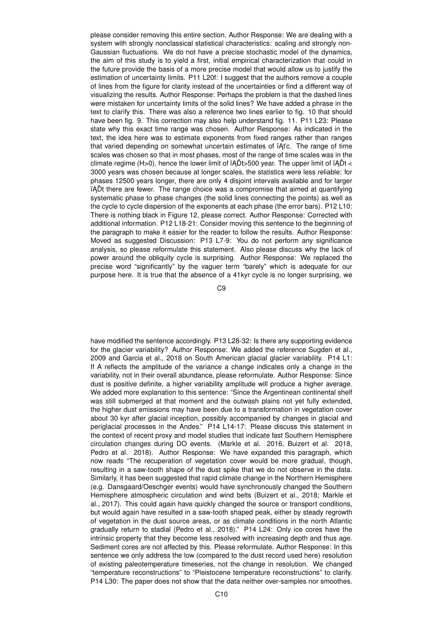please consider removing this entire section. Author Response: We are dealing with a system with strongly nonclassical statistical characteristics: scaling and strongly non-Gaussian fluctuations. We do not have a precise stochastic model of the dynamics, the aim of this study is to yield a first, initial empirical characterization that could in the future provide the basis of a more precise model that would allow us to justify the estimation of uncertainty limits. P11 L20f: I suggest that the authors remove a couple of lines from the figure for clarity instead of the uncertainties or find a different way of visualizing the results. Author Response: Perhaps the problem is that the dashed lines were mistaken for uncertainty limits of the solid lines? We have added a phrase in the text to clarify this. There was also a reference two lines earlier to fig. 10 that should have been fig. 9. This correction may also help understand fig. 11. P11 L23: Please state why this exact time range was chosen. Author Response: As indicated in the text, the idea here was to estimate exponents from fixed ranges rather than ranges that varied depending on somewhat uncertain estimates of  $iAtc$ . The range of time scales was chosen so that in most phases, most of the range of time scales was in the climate regime (H>0), hence the lower limit of  $iA\tilde{D}t$  > 500 year. The upper limit of  $iA\tilde{D}t$  < 3000 years was chosen because at longer scales, the statistics were less reliable: for phases 12500 years longer, there are only 4 disjoint intervals available and for larger iADt there are fewer. The range choice was a compromise that aimed at quantifying systematic phase to phase changes (the solid lines connecting the points) as well as the cycle to cycle dispersion of the exponents at each phase (the error bars). P12 L10: There is nothing black in Figure 12, please correct. Author Response: Corrected with additional information. P12 L18-21: Consider moving this sentence to the beginning of the paragraph to make it easier for the reader to follow the results. Author Response: Moved as suggested Discussion: P13 L7-9: You do not perform any significance analysis, so please reformulate this statement. Also please discuss why the lack of power around the obliquity cycle is surprising. Author Response: We replaced the precise word "significantly" by the vaguer term "barely" which is adequate for our purpose here. It is true that the absence of a 41kyr cycle is no longer surprising, we

C9

have modified the sentence accordingly. P13 L28-32: Is there any supporting evidence for the glacier variability? Author Response: We added the reference Sugden et al., 2009 and Garcia et al., 2018 on South American glacial glacier variability. P14 L1: If A reflects the amplitude of the variance a change indicates only a change in the variability, not in their overall abundance, please reformulate. Author Response: Since dust is positive definite, a higher variability amplitude will produce a higher average. We added more explanation to this sentence: "Since the Argentinean continental shelf was still submerged at that moment and the outwash plains not yet fully extended, the higher dust emissions may have been due to a transformation in vegetation cover about 30 kyr after glacial inception, possibly accompanied by changes in glacial and periglacial processes in the Andes." P14 L14-17: Please discuss this statement in the context of recent proxy and model studies that indicate fast Southern Hemisphere circulation changes during DO events. (Markle et al. 2016, Buizert et al. 2018, Pedro et al. 2018). Author Response: We have expanded this paragraph, which now reads "The recuperation of vegetation cover would be more gradual, though, resulting in a saw-tooth shape of the dust spike that we do not observe in the data. Similarly, it has been suggested that rapid climate change in the Northern Hemisphere (e.g. Dansgaard/Oeschger events) would have synchronously changed the Southern Hemisphere atmospheric circulation and wind belts (Buizert et al., 2018; Markle et al., 2017). This could again have quickly changed the source or transport conditions, but would again have resulted in a saw-tooth shaped peak, either by steady regrowth of vegetation in the dust source areas, or as climate conditions in the north Atlantic gradually return to stadial (Pedro et al., 2018)." P14 L24: Only ice cores have the intrinsic property that they become less resolved with increasing depth and thus age. Sediment cores are not affected by this. Please reformulate. Author Response: In this sentence we only address the low (compared to the dust record used here) resolution of existing paleotemperature timeseries, not the change in resolution. We changed "temperature reconstructions" to "Pleistocene temperature reconstructions" to clarify. P14 L30: The paper does not show that the data neither over-samples nor smoothes.